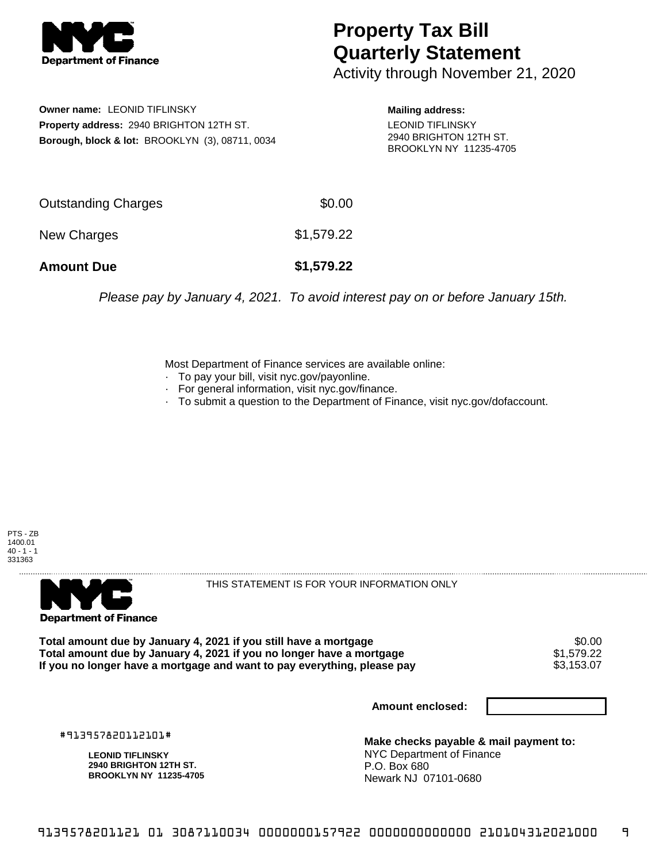

## **Property Tax Bill Quarterly Statement**

Activity through November 21, 2020

**Owner name:** LEONID TIFLINSKY **Property address:** 2940 BRIGHTON 12TH ST. **Borough, block & lot:** BROOKLYN (3), 08711, 0034

**Mailing address:** LEONID TIFLINSKY 2940 BRIGHTON 12TH ST. BROOKLYN NY 11235-4705

| <b>Amount Due</b>   | \$1,579.22 |
|---------------------|------------|
| New Charges         | \$1,579.22 |
| Outstanding Charges | \$0.00     |

Please pay by January 4, 2021. To avoid interest pay on or before January 15th.

Most Department of Finance services are available online:

- · To pay your bill, visit nyc.gov/payonline.
- For general information, visit nyc.gov/finance.
- · To submit a question to the Department of Finance, visit nyc.gov/dofaccount.





THIS STATEMENT IS FOR YOUR INFORMATION ONLY

Total amount due by January 4, 2021 if you still have a mortgage \$0.00<br>Total amount due by January 4, 2021 if you no longer have a mortgage \$1.579.22 **Total amount due by January 4, 2021 if you no longer have a mortgage**  $$1,579.22$$ **<br>If you no longer have a mortgage and want to pay everything, please pay**  $$3,153.07$$ If you no longer have a mortgage and want to pay everything, please pay

**Amount enclosed:**

#913957820112101#

**LEONID TIFLINSKY 2940 BRIGHTON 12TH ST. BROOKLYN NY 11235-4705**

**Make checks payable & mail payment to:** NYC Department of Finance P.O. Box 680 Newark NJ 07101-0680